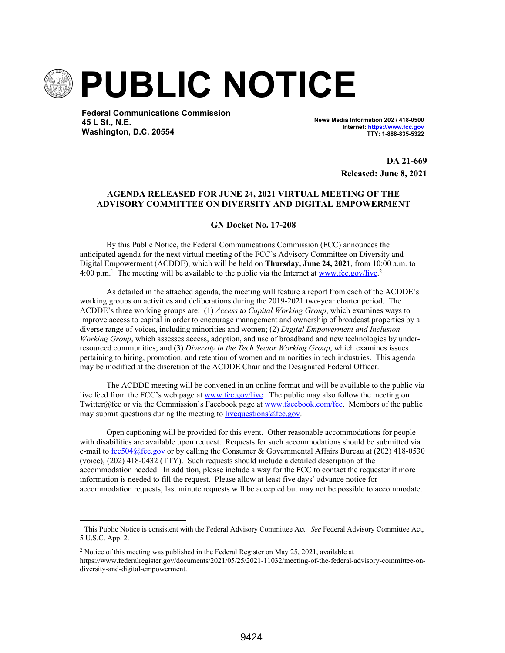

**Federal Communications Commission 45 L St., N.E. Washington, D.C. 20554**

**News Media Information 202 / 418-0500 Internet: https://www.fcc.gov TTY: 1-888-835-5322**

> **DA 21-669 Released: June 8, 2021**

## **AGENDA RELEASED FOR JUNE 24, 2021 VIRTUAL MEETING OF THE ADVISORY COMMITTEE ON DIVERSITY AND DIGITAL EMPOWERMENT**

**GN Docket No. 17-208**

By this Public Notice, the Federal Communications Commission (FCC) announces the anticipated agenda for the next virtual meeting of the FCC's Advisory Committee on Diversity and Digital Empowerment (ACDDE), which will be held on **Thursday, June 24, 2021**, from 10:00 a.m. to 4:00 p.m.<sup>1</sup> The meeting will be available to the public via the Internet at www.fcc.gov/live.<sup>2</sup>

As detailed in the attached agenda, the meeting will feature a report from each of the ACDDE's working groups on activities and deliberations during the 2019-2021 two-year charter period. The ACDDE's three working groups are: (1) *Access to Capital Working Group*, which examines ways to improve access to capital in order to encourage management and ownership of broadcast properties by a diverse range of voices, including minorities and women; (2) *Digital Empowerment and Inclusion Working Group*, which assesses access, adoption, and use of broadband and new technologies by underresourced communities; and (3) *Diversity in the Tech Sector Working Group*, which examines issues pertaining to hiring, promotion, and retention of women and minorities in tech industries. This agenda may be modified at the discretion of the ACDDE Chair and the Designated Federal Officer.

The ACDDE meeting will be convened in an online format and will be available to the public via live feed from the FCC's web page at www.fcc.gov/live. The public may also follow the meeting on Twitter@fcc or via the Commission's Facebook page at www.facebook.com/fcc. Members of the public may submit questions during the meeting to live questions  $\omega$  fcc.gov.

Open captioning will be provided for this event. Other reasonable accommodations for people with disabilities are available upon request. Requests for such accommodations should be submitted via e-mail to fcc504@fcc.gov or by calling the Consumer & Governmental Affairs Bureau at (202) 418-0530 (voice), (202) 418-0432 (TTY). Such requests should include a detailed description of the accommodation needed. In addition, please include a way for the FCC to contact the requester if more information is needed to fill the request. Please allow at least five days' advance notice for accommodation requests; last minute requests will be accepted but may not be possible to accommodate.

<sup>2</sup> Notice of this meeting was published in the Federal Register on May 25, 2021, available at https://www.federalregister.gov/documents/2021/05/25/2021-11032/meeting-of-the-federal-advisory-committee-ondiversity-and-digital-empowerment.

<sup>&</sup>lt;sup>1</sup> This Public Notice is consistent with the Federal Advisory Committee Act. *See* Federal Advisory Committee Act, 5 U.S.C. App. 2.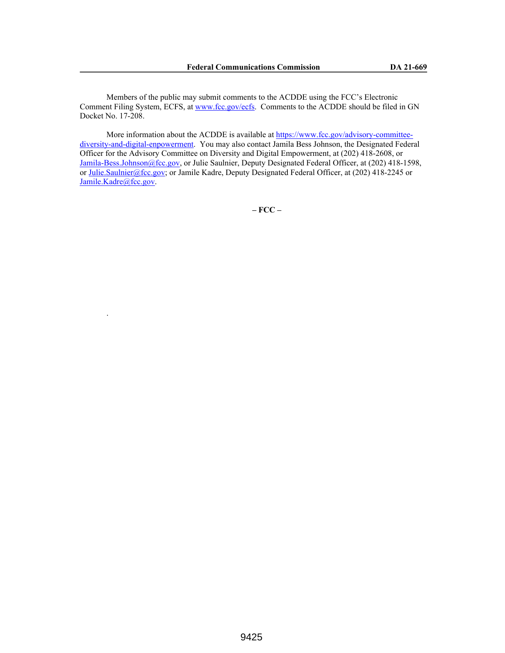Members of the public may submit comments to the ACDDE using the FCC's Electronic Comment Filing System, ECFS, at www.fcc.gov/ecfs. Comments to the ACDDE should be filed in GN Docket No. 17-208.

More information about the ACDDE is available at https://www.fcc.gov/advisory-committeediversity-and-digital-enpowerment. You may also contact Jamila Bess Johnson, the Designated Federal Officer for the Advisory Committee on Diversity and Digital Empowerment, at (202) 418-2608, or Jamila-Bess.Johnson@fcc.gov, or Julie Saulnier, Deputy Designated Federal Officer, at (202) 418-1598, or Julie.Saulnier@fcc.gov; or Jamile Kadre, Deputy Designated Federal Officer, at (202) 418-2245 or Jamile.Kadre@fcc.gov.

.

**– FCC –**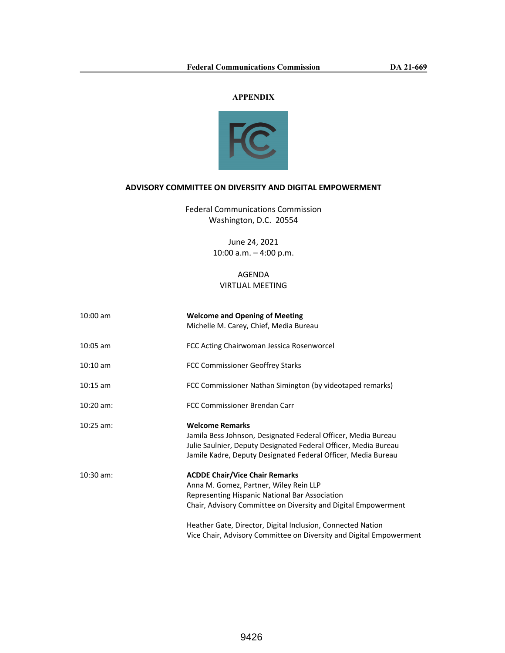## **APPENDIX**



## **ADVISORY COMMITTEE ON DIVERSITY AND DIGITAL EMPOWERMENT**

Federal Communications Commission Washington, D.C. 20554

> June 24, 2021 10:00 a.m. – 4:00 p.m.

## AGENDA VIRTUAL MEETING

| $10:00$ am         | <b>Welcome and Opening of Meeting</b><br>Michelle M. Carey, Chief, Media Bureau                                                                                                                                                                                    |
|--------------------|--------------------------------------------------------------------------------------------------------------------------------------------------------------------------------------------------------------------------------------------------------------------|
| 10:05 am           | FCC Acting Chairwoman Jessica Rosenworcel                                                                                                                                                                                                                          |
| $10:10 \text{ am}$ | FCC Commissioner Geoffrey Starks                                                                                                                                                                                                                                   |
| $10:15$ am         | FCC Commissioner Nathan Simington (by videotaped remarks)                                                                                                                                                                                                          |
| $10:20$ am:        | FCC Commissioner Brendan Carr                                                                                                                                                                                                                                      |
| $10:25$ am:        | <b>Welcome Remarks</b><br>Jamila Bess Johnson, Designated Federal Officer, Media Bureau<br>Julie Saulnier, Deputy Designated Federal Officer, Media Bureau<br>Jamile Kadre, Deputy Designated Federal Officer, Media Bureau                                        |
| $10:30$ am:        | <b>ACDDE Chair/Vice Chair Remarks</b><br>Anna M. Gomez, Partner, Wiley Rein LLP<br>Representing Hispanic National Bar Association<br>Chair, Advisory Committee on Diversity and Digital Empowerment<br>Heather Gate, Director, Digital Inclusion, Connected Nation |
|                    | Vice Chair, Advisory Committee on Diversity and Digital Empowerment                                                                                                                                                                                                |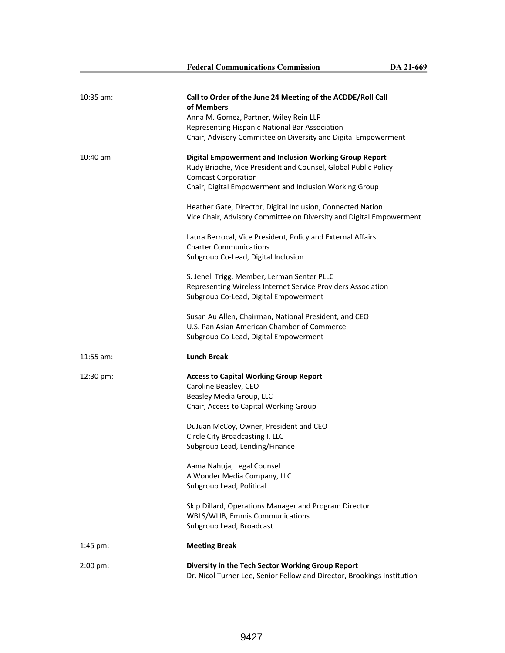| $10:35$ am:         | Call to Order of the June 24 Meeting of the ACDDE/Roll Call<br>of Members<br>Anna M. Gomez, Partner, Wiley Rein LLP<br>Representing Hispanic National Bar Association                                            |
|---------------------|------------------------------------------------------------------------------------------------------------------------------------------------------------------------------------------------------------------|
|                     | Chair, Advisory Committee on Diversity and Digital Empowerment                                                                                                                                                   |
| 10:40 am            | Digital Empowerment and Inclusion Working Group Report<br>Rudy Brioché, Vice President and Counsel, Global Public Policy<br><b>Comcast Corporation</b><br>Chair, Digital Empowerment and Inclusion Working Group |
|                     | Heather Gate, Director, Digital Inclusion, Connected Nation<br>Vice Chair, Advisory Committee on Diversity and Digital Empowerment                                                                               |
|                     | Laura Berrocal, Vice President, Policy and External Affairs<br><b>Charter Communications</b><br>Subgroup Co-Lead, Digital Inclusion                                                                              |
|                     | S. Jenell Trigg, Member, Lerman Senter PLLC<br>Representing Wireless Internet Service Providers Association<br>Subgroup Co-Lead, Digital Empowerment                                                             |
|                     | Susan Au Allen, Chairman, National President, and CEO<br>U.S. Pan Asian American Chamber of Commerce<br>Subgroup Co-Lead, Digital Empowerment                                                                    |
| $11:55$ am:         | <b>Lunch Break</b>                                                                                                                                                                                               |
| 12:30 pm:           | <b>Access to Capital Working Group Report</b><br>Caroline Beasley, CEO<br>Beasley Media Group, LLC<br>Chair, Access to Capital Working Group                                                                     |
|                     | DuJuan McCoy, Owner, President and CEO<br>Circle City Broadcasting I, LLC<br>Subgroup Lead, Lending/Finance                                                                                                      |
|                     | Aama Nahuja, Legal Counsel<br>A Wonder Media Company, LLC<br>Subgroup Lead, Political                                                                                                                            |
|                     | Skip Dillard, Operations Manager and Program Director<br>WBLS/WLIB, Emmis Communications<br>Subgroup Lead, Broadcast                                                                                             |
| 1:45 pm:            | <b>Meeting Break</b>                                                                                                                                                                                             |
| $2:00 \text{ pm}$ : | Diversity in the Tech Sector Working Group Report<br>Dr. Nicol Turner Lee, Senior Fellow and Director, Brookings Institution                                                                                     |